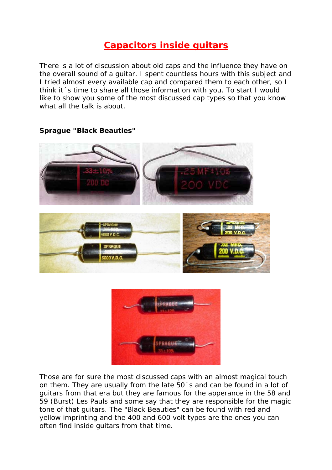# **Capacitors inside guitars**

There is a lot of discussion about old caps and the influence they have on the overall sound of a guitar. I spent countless hours with this subject and I tried almost every available cap and compared them to each other, so I think it´s time to share all those information with you. To start I would like to show you some of the most discussed cap types so that you know what all the talk is about.



#### **Sprague "Black Beauties"**



Those are for sure the most discussed caps with an almost magical touch on them. They are usually from the late 50´s and can be found in a lot of guitars from that era but they are famous for the apperance in the 58 and 59 (Burst) Les Pauls and some say that they are responsible for the magic tone of that guitars. The "Black Beauties" can be found with red and yellow imprinting and the 400 and 600 volt types are the ones you can often find inside guitars from that time.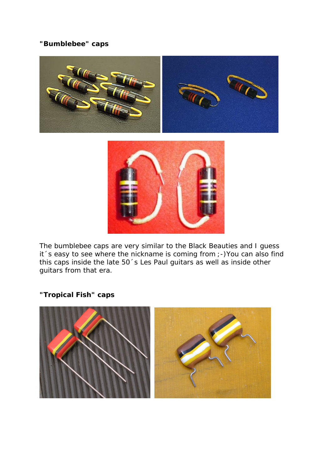## **"Bumblebee" caps**



The bumblebee caps are very similar to the Black Beauties and I guess it´s easy to see where the nickname is coming from ;-)You can also find this caps inside the late 50´s Les Paul guitars as well as inside other guitars from that era.

## **"Tropical Fish" caps**

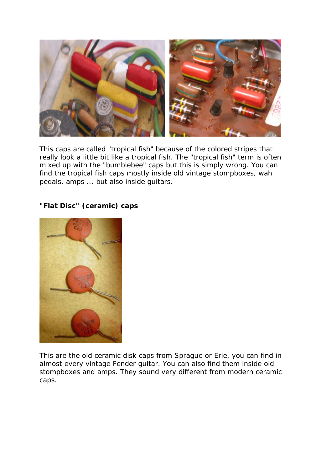

This caps are called "tropical fish" because of the colored stripes that really look a little bit like a tropical fish. The "tropical fish" term is often mixed up with the "bumblebee" caps but this is simply wrong. You can find the tropical fish caps mostly inside old vintage stompboxes, wah pedals, amps ... but also inside guitars.

## **"Flat Disc" (ceramic) caps**

This are the old ceramic disk caps from Sprague or Erie, you can find in almost every vintage Fender guitar. You can also find them inside old stompboxes and amps. They sound very different from modern ceramic caps.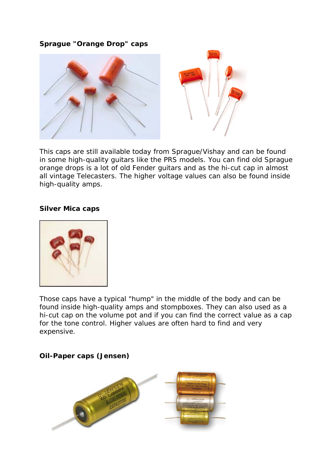#### **Sprague "Orange Drop" caps**



This caps are still available today from Sprague/Vishay and can be found in some high-quality guitars like the PRS models. You can find old Sprague orange drops is a lot of old Fender guitars and as the hi-cut cap in almost all vintage Telecasters. The higher voltage values can also be found inside high-quality amps.

#### **Silver Mica caps**



Those caps have a typical "hump" in the middle of the body and can be found inside high-quality amps and stompboxes. They can also used as a hi-cut cap on the volume pot and if you can find the correct value as a cap for the tone control. Higher values are often hard to find and very expensive.

### **Oil-Paper caps (Jensen)**